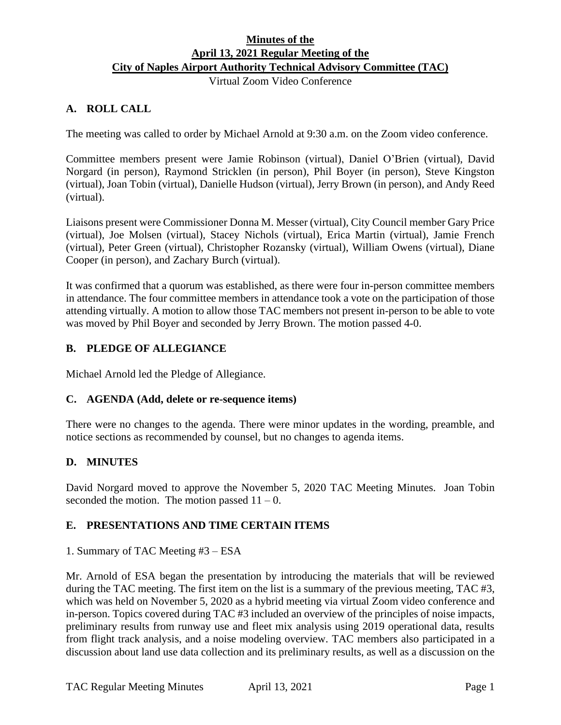# **Minutes of the April 13, 2021 Regular Meeting of the City of Naples Airport Authority Technical Advisory Committee (TAC)**

Virtual Zoom Video Conference

# **A. ROLL CALL**

The meeting was called to order by Michael Arnold at 9:30 a.m. on the Zoom video conference.

Committee members present were Jamie Robinson (virtual), Daniel O'Brien (virtual), David Norgard (in person), Raymond Stricklen (in person), Phil Boyer (in person), Steve Kingston (virtual), Joan Tobin (virtual), Danielle Hudson (virtual), Jerry Brown (in person), and Andy Reed (virtual).

Liaisons present were Commissioner Donna M. Messer (virtual), City Council member Gary Price (virtual), Joe Molsen (virtual), Stacey Nichols (virtual), Erica Martin (virtual), Jamie French (virtual), Peter Green (virtual), Christopher Rozansky (virtual), William Owens (virtual), Diane Cooper (in person), and Zachary Burch (virtual).

It was confirmed that a quorum was established, as there were four in-person committee members in attendance. The four committee members in attendance took a vote on the participation of those attending virtually. A motion to allow those TAC members not present in-person to be able to vote was moved by Phil Boyer and seconded by Jerry Brown. The motion passed 4-0.

# **B. PLEDGE OF ALLEGIANCE**

Michael Arnold led the Pledge of Allegiance.

### **C. AGENDA (Add, delete or re-sequence items)**

There were no changes to the agenda. There were minor updates in the wording, preamble, and notice sections as recommended by counsel, but no changes to agenda items.

### **D. MINUTES**

David Norgard moved to approve the November 5, 2020 TAC Meeting Minutes. Joan Tobin seconded the motion. The motion passed  $11 - 0$ .

# **E. PRESENTATIONS AND TIME CERTAIN ITEMS**

### 1. Summary of TAC Meeting #3 – ESA

Mr. Arnold of ESA began the presentation by introducing the materials that will be reviewed during the TAC meeting. The first item on the list is a summary of the previous meeting, TAC #3, which was held on November 5, 2020 as a hybrid meeting via virtual Zoom video conference and in-person. Topics covered during TAC #3 included an overview of the principles of noise impacts, preliminary results from runway use and fleet mix analysis using 2019 operational data, results from flight track analysis, and a noise modeling overview. TAC members also participated in a discussion about land use data collection and its preliminary results, as well as a discussion on the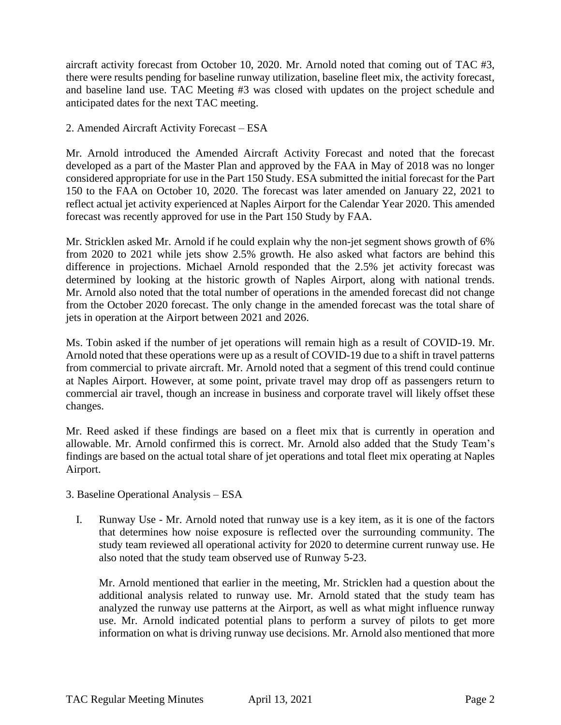aircraft activity forecast from October 10, 2020. Mr. Arnold noted that coming out of TAC #3, there were results pending for baseline runway utilization, baseline fleet mix, the activity forecast, and baseline land use. TAC Meeting #3 was closed with updates on the project schedule and anticipated dates for the next TAC meeting.

### 2. Amended Aircraft Activity Forecast – ESA

Mr. Arnold introduced the Amended Aircraft Activity Forecast and noted that the forecast developed as a part of the Master Plan and approved by the FAA in May of 2018 was no longer considered appropriate for use in the Part 150 Study. ESA submitted the initial forecast for the Part 150 to the FAA on October 10, 2020. The forecast was later amended on January 22, 2021 to reflect actual jet activity experienced at Naples Airport for the Calendar Year 2020. This amended forecast was recently approved for use in the Part 150 Study by FAA.

Mr. Stricklen asked Mr. Arnold if he could explain why the non-jet segment shows growth of 6% from 2020 to 2021 while jets show 2.5% growth. He also asked what factors are behind this difference in projections. Michael Arnold responded that the 2.5% jet activity forecast was determined by looking at the historic growth of Naples Airport, along with national trends. Mr. Arnold also noted that the total number of operations in the amended forecast did not change from the October 2020 forecast. The only change in the amended forecast was the total share of jets in operation at the Airport between 2021 and 2026.

Ms. Tobin asked if the number of jet operations will remain high as a result of COVID-19. Mr. Arnold noted that these operations were up as a result of COVID-19 due to a shift in travel patterns from commercial to private aircraft. Mr. Arnold noted that a segment of this trend could continue at Naples Airport. However, at some point, private travel may drop off as passengers return to commercial air travel, though an increase in business and corporate travel will likely offset these changes.

Mr. Reed asked if these findings are based on a fleet mix that is currently in operation and allowable. Mr. Arnold confirmed this is correct. Mr. Arnold also added that the Study Team's findings are based on the actual total share of jet operations and total fleet mix operating at Naples Airport.

- 3. Baseline Operational Analysis ESA
	- I. Runway Use Mr. Arnold noted that runway use is a key item, as it is one of the factors that determines how noise exposure is reflected over the surrounding community. The study team reviewed all operational activity for 2020 to determine current runway use. He also noted that the study team observed use of Runway 5-23.

Mr. Arnold mentioned that earlier in the meeting, Mr. Stricklen had a question about the additional analysis related to runway use. Mr. Arnold stated that the study team has analyzed the runway use patterns at the Airport, as well as what might influence runway use. Mr. Arnold indicated potential plans to perform a survey of pilots to get more information on what is driving runway use decisions. Mr. Arnold also mentioned that more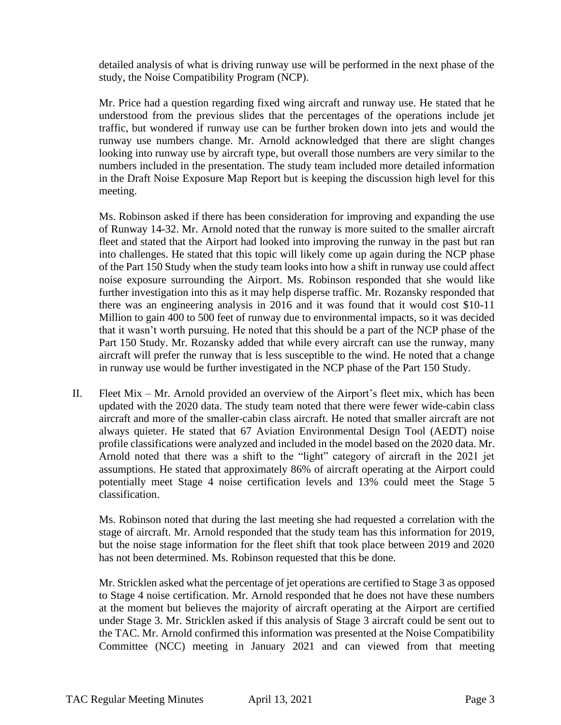detailed analysis of what is driving runway use will be performed in the next phase of the study, the Noise Compatibility Program (NCP).

Mr. Price had a question regarding fixed wing aircraft and runway use. He stated that he understood from the previous slides that the percentages of the operations include jet traffic, but wondered if runway use can be further broken down into jets and would the runway use numbers change. Mr. Arnold acknowledged that there are slight changes looking into runway use by aircraft type, but overall those numbers are very similar to the numbers included in the presentation. The study team included more detailed information in the Draft Noise Exposure Map Report but is keeping the discussion high level for this meeting.

Ms. Robinson asked if there has been consideration for improving and expanding the use of Runway 14-32. Mr. Arnold noted that the runway is more suited to the smaller aircraft fleet and stated that the Airport had looked into improving the runway in the past but ran into challenges. He stated that this topic will likely come up again during the NCP phase of the Part 150 Study when the study team looks into how a shift in runway use could affect noise exposure surrounding the Airport. Ms. Robinson responded that she would like further investigation into this as it may help disperse traffic. Mr. Rozansky responded that there was an engineering analysis in 2016 and it was found that it would cost \$10-11 Million to gain 400 to 500 feet of runway due to environmental impacts, so it was decided that it wasn't worth pursuing. He noted that this should be a part of the NCP phase of the Part 150 Study. Mr. Rozansky added that while every aircraft can use the runway, many aircraft will prefer the runway that is less susceptible to the wind. He noted that a change in runway use would be further investigated in the NCP phase of the Part 150 Study.

II. Fleet Mix – Mr. Arnold provided an overview of the Airport's fleet mix, which has been updated with the 2020 data. The study team noted that there were fewer wide-cabin class aircraft and more of the smaller-cabin class aircraft. He noted that smaller aircraft are not always quieter. He stated that 67 Aviation Environmental Design Tool (AEDT) noise profile classifications were analyzed and included in the model based on the 2020 data. Mr. Arnold noted that there was a shift to the "light" category of aircraft in the 2021 jet assumptions. He stated that approximately 86% of aircraft operating at the Airport could potentially meet Stage 4 noise certification levels and 13% could meet the Stage 5 classification.

Ms. Robinson noted that during the last meeting she had requested a correlation with the stage of aircraft. Mr. Arnold responded that the study team has this information for 2019, but the noise stage information for the fleet shift that took place between 2019 and 2020 has not been determined. Ms. Robinson requested that this be done.

Mr. Stricklen asked what the percentage of jet operations are certified to Stage 3 as opposed to Stage 4 noise certification. Mr. Arnold responded that he does not have these numbers at the moment but believes the majority of aircraft operating at the Airport are certified under Stage 3. Mr. Stricklen asked if this analysis of Stage 3 aircraft could be sent out to the TAC. Mr. Arnold confirmed this information was presented at the Noise Compatibility Committee (NCC) meeting in January 2021 and can viewed from that meeting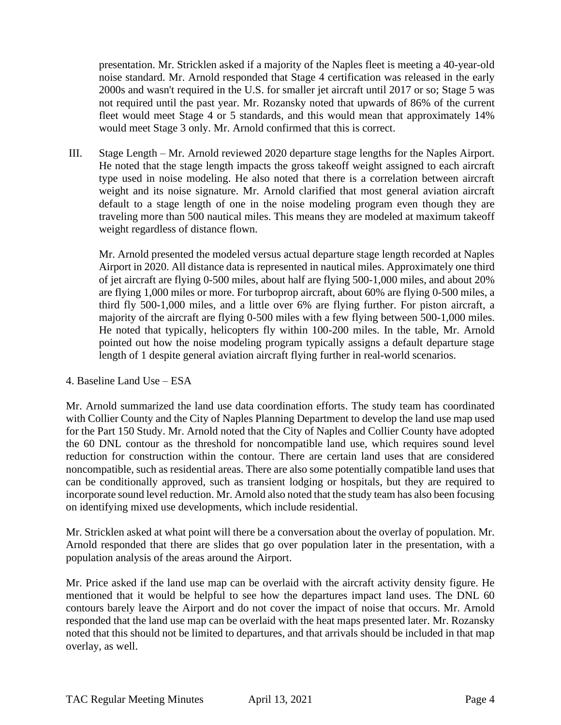presentation. Mr. Stricklen asked if a majority of the Naples fleet is meeting a 40-year-old noise standard. Mr. Arnold responded that Stage 4 certification was released in the early 2000s and wasn't required in the U.S. for smaller jet aircraft until 2017 or so; Stage 5 was not required until the past year. Mr. Rozansky noted that upwards of 86% of the current fleet would meet Stage 4 or 5 standards, and this would mean that approximately 14% would meet Stage 3 only. Mr. Arnold confirmed that this is correct.

III. Stage Length – Mr. Arnold reviewed 2020 departure stage lengths for the Naples Airport. He noted that the stage length impacts the gross takeoff weight assigned to each aircraft type used in noise modeling. He also noted that there is a correlation between aircraft weight and its noise signature. Mr. Arnold clarified that most general aviation aircraft default to a stage length of one in the noise modeling program even though they are traveling more than 500 nautical miles. This means they are modeled at maximum takeoff weight regardless of distance flown.

Mr. Arnold presented the modeled versus actual departure stage length recorded at Naples Airport in 2020. All distance data is represented in nautical miles. Approximately one third of jet aircraft are flying 0-500 miles, about half are flying 500-1,000 miles, and about 20% are flying 1,000 miles or more. For turboprop aircraft, about 60% are flying 0-500 miles, a third fly 500-1,000 miles, and a little over 6% are flying further. For piston aircraft, a majority of the aircraft are flying 0-500 miles with a few flying between 500-1,000 miles. He noted that typically, helicopters fly within 100-200 miles. In the table, Mr. Arnold pointed out how the noise modeling program typically assigns a default departure stage length of 1 despite general aviation aircraft flying further in real-world scenarios.

### 4. Baseline Land Use – ESA

Mr. Arnold summarized the land use data coordination efforts. The study team has coordinated with Collier County and the City of Naples Planning Department to develop the land use map used for the Part 150 Study. Mr. Arnold noted that the City of Naples and Collier County have adopted the 60 DNL contour as the threshold for noncompatible land use, which requires sound level reduction for construction within the contour. There are certain land uses that are considered noncompatible, such as residential areas. There are also some potentially compatible land uses that can be conditionally approved, such as transient lodging or hospitals, but they are required to incorporate sound level reduction. Mr. Arnold also noted that the study team has also been focusing on identifying mixed use developments, which include residential.

Mr. Stricklen asked at what point will there be a conversation about the overlay of population. Mr. Arnold responded that there are slides that go over population later in the presentation, with a population analysis of the areas around the Airport.

Mr. Price asked if the land use map can be overlaid with the aircraft activity density figure. He mentioned that it would be helpful to see how the departures impact land uses. The DNL 60 contours barely leave the Airport and do not cover the impact of noise that occurs. Mr. Arnold responded that the land use map can be overlaid with the heat maps presented later. Mr. Rozansky noted that this should not be limited to departures, and that arrivals should be included in that map overlay, as well.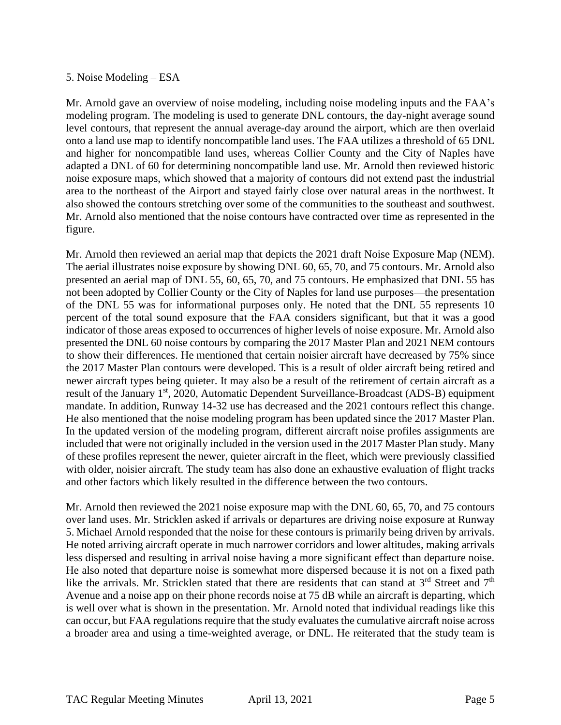### 5. Noise Modeling – ESA

Mr. Arnold gave an overview of noise modeling, including noise modeling inputs and the FAA's modeling program. The modeling is used to generate DNL contours, the day-night average sound level contours, that represent the annual average-day around the airport, which are then overlaid onto a land use map to identify noncompatible land uses. The FAA utilizes a threshold of 65 DNL and higher for noncompatible land uses, whereas Collier County and the City of Naples have adapted a DNL of 60 for determining noncompatible land use. Mr. Arnold then reviewed historic noise exposure maps, which showed that a majority of contours did not extend past the industrial area to the northeast of the Airport and stayed fairly close over natural areas in the northwest. It also showed the contours stretching over some of the communities to the southeast and southwest. Mr. Arnold also mentioned that the noise contours have contracted over time as represented in the figure.

Mr. Arnold then reviewed an aerial map that depicts the 2021 draft Noise Exposure Map (NEM). The aerial illustrates noise exposure by showing DNL 60, 65, 70, and 75 contours. Mr. Arnold also presented an aerial map of DNL 55, 60, 65, 70, and 75 contours. He emphasized that DNL 55 has not been adopted by Collier County or the City of Naples for land use purposes—the presentation of the DNL 55 was for informational purposes only. He noted that the DNL 55 represents 10 percent of the total sound exposure that the FAA considers significant, but that it was a good indicator of those areas exposed to occurrences of higher levels of noise exposure. Mr. Arnold also presented the DNL 60 noise contours by comparing the 2017 Master Plan and 2021 NEM contours to show their differences. He mentioned that certain noisier aircraft have decreased by 75% since the 2017 Master Plan contours were developed. This is a result of older aircraft being retired and newer aircraft types being quieter. It may also be a result of the retirement of certain aircraft as a result of the January 1<sup>st</sup>, 2020, Automatic Dependent Surveillance-Broadcast (ADS-B) equipment mandate. In addition, Runway 14-32 use has decreased and the 2021 contours reflect this change. He also mentioned that the noise modeling program has been updated since the 2017 Master Plan. In the updated version of the modeling program, different aircraft noise profiles assignments are included that were not originally included in the version used in the 2017 Master Plan study. Many of these profiles represent the newer, quieter aircraft in the fleet, which were previously classified with older, noisier aircraft. The study team has also done an exhaustive evaluation of flight tracks and other factors which likely resulted in the difference between the two contours.

Mr. Arnold then reviewed the 2021 noise exposure map with the DNL 60, 65, 70, and 75 contours over land uses. Mr. Stricklen asked if arrivals or departures are driving noise exposure at Runway 5. Michael Arnold responded that the noise for these contours is primarily being driven by arrivals. He noted arriving aircraft operate in much narrower corridors and lower altitudes, making arrivals less dispersed and resulting in arrival noise having a more significant effect than departure noise. He also noted that departure noise is somewhat more dispersed because it is not on a fixed path like the arrivals. Mr. Stricklen stated that there are residents that can stand at 3<sup>rd</sup> Street and 7<sup>th</sup> Avenue and a noise app on their phone records noise at 75 dB while an aircraft is departing, which is well over what is shown in the presentation. Mr. Arnold noted that individual readings like this can occur, but FAA regulations require that the study evaluates the cumulative aircraft noise across a broader area and using a time-weighted average, or DNL. He reiterated that the study team is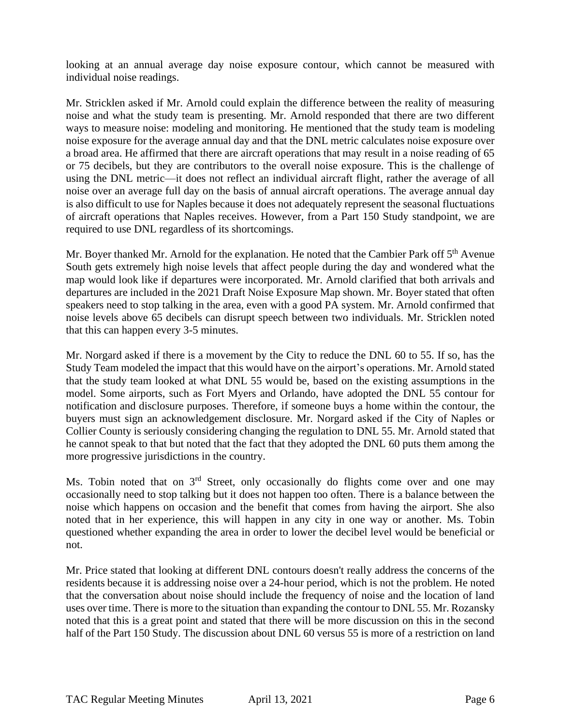looking at an annual average day noise exposure contour, which cannot be measured with individual noise readings.

Mr. Stricklen asked if Mr. Arnold could explain the difference between the reality of measuring noise and what the study team is presenting. Mr. Arnold responded that there are two different ways to measure noise: modeling and monitoring. He mentioned that the study team is modeling noise exposure for the average annual day and that the DNL metric calculates noise exposure over a broad area. He affirmed that there are aircraft operations that may result in a noise reading of 65 or 75 decibels, but they are contributors to the overall noise exposure. This is the challenge of using the DNL metric—it does not reflect an individual aircraft flight, rather the average of all noise over an average full day on the basis of annual aircraft operations. The average annual day is also difficult to use for Naples because it does not adequately represent the seasonal fluctuations of aircraft operations that Naples receives. However, from a Part 150 Study standpoint, we are required to use DNL regardless of its shortcomings.

Mr. Boyer thanked Mr. Arnold for the explanation. He noted that the Cambier Park off 5<sup>th</sup> Avenue South gets extremely high noise levels that affect people during the day and wondered what the map would look like if departures were incorporated. Mr. Arnold clarified that both arrivals and departures are included in the 2021 Draft Noise Exposure Map shown. Mr. Boyer stated that often speakers need to stop talking in the area, even with a good PA system. Mr. Arnold confirmed that noise levels above 65 decibels can disrupt speech between two individuals. Mr. Stricklen noted that this can happen every 3-5 minutes.

Mr. Norgard asked if there is a movement by the City to reduce the DNL 60 to 55. If so, has the Study Team modeled the impact that this would have on the airport's operations. Mr. Arnold stated that the study team looked at what DNL 55 would be, based on the existing assumptions in the model. Some airports, such as Fort Myers and Orlando, have adopted the DNL 55 contour for notification and disclosure purposes. Therefore, if someone buys a home within the contour, the buyers must sign an acknowledgement disclosure. Mr. Norgard asked if the City of Naples or Collier County is seriously considering changing the regulation to DNL 55. Mr. Arnold stated that he cannot speak to that but noted that the fact that they adopted the DNL 60 puts them among the more progressive jurisdictions in the country.

Ms. Tobin noted that on  $3<sup>rd</sup>$  Street, only occasionally do flights come over and one may occasionally need to stop talking but it does not happen too often. There is a balance between the noise which happens on occasion and the benefit that comes from having the airport. She also noted that in her experience, this will happen in any city in one way or another. Ms. Tobin questioned whether expanding the area in order to lower the decibel level would be beneficial or not.

Mr. Price stated that looking at different DNL contours doesn't really address the concerns of the residents because it is addressing noise over a 24-hour period, which is not the problem. He noted that the conversation about noise should include the frequency of noise and the location of land uses over time. There is more to the situation than expanding the contour to DNL 55. Mr. Rozansky noted that this is a great point and stated that there will be more discussion on this in the second half of the Part 150 Study. The discussion about DNL 60 versus 55 is more of a restriction on land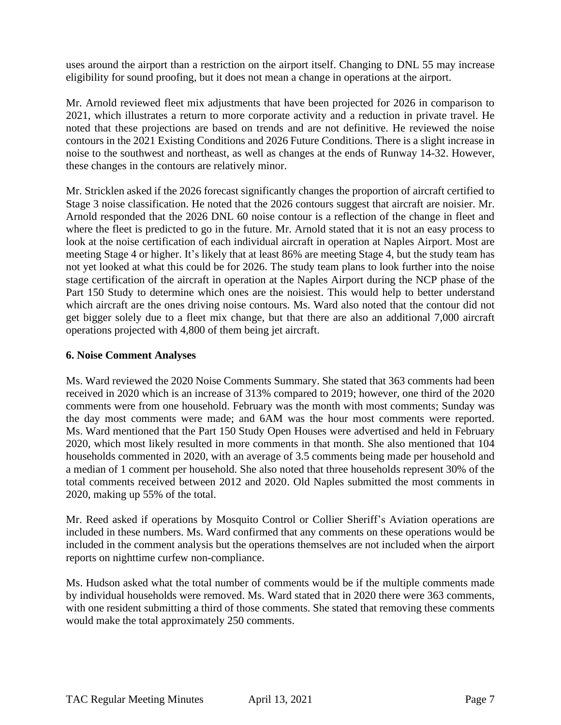uses around the airport than a restriction on the airport itself. Changing to DNL 55 may increase eligibility for sound proofing, but it does not mean a change in operations at the airport.

Mr. Arnold reviewed fleet mix adjustments that have been projected for 2026 in comparison to 2021, which illustrates a return to more corporate activity and a reduction in private travel. He noted that these projections are based on trends and are not definitive. He reviewed the noise contours in the 2021 Existing Conditions and 2026 Future Conditions. There is a slight increase in noise to the southwest and northeast, as well as changes at the ends of Runway 14-32. However, these changes in the contours are relatively minor.

Mr. Stricklen asked if the 2026 forecast significantly changes the proportion of aircraft certified to Stage 3 noise classification. He noted that the 2026 contours suggest that aircraft are noisier. Mr. Arnold responded that the 2026 DNL 60 noise contour is a reflection of the change in fleet and where the fleet is predicted to go in the future. Mr. Arnold stated that it is not an easy process to look at the noise certification of each individual aircraft in operation at Naples Airport. Most are meeting Stage 4 or higher. It's likely that at least 86% are meeting Stage 4, but the study team has not yet looked at what this could be for 2026. The study team plans to look further into the noise stage certification of the aircraft in operation at the Naples Airport during the NCP phase of the Part 150 Study to determine which ones are the noisiest. This would help to better understand which aircraft are the ones driving noise contours. Ms. Ward also noted that the contour did not get bigger solely due to a fleet mix change, but that there are also an additional 7,000 aircraft operations projected with 4,800 of them being jet aircraft.

### **6. Noise Comment Analyses**

Ms. Ward reviewed the 2020 Noise Comments Summary. She stated that 363 comments had been received in 2020 which is an increase of 313% compared to 2019; however, one third of the 2020 comments were from one household. February was the month with most comments; Sunday was the day most comments were made; and 6AM was the hour most comments were reported. Ms. Ward mentioned that the Part 150 Study Open Houses were advertised and held in February 2020, which most likely resulted in more comments in that month. She also mentioned that 104 households commented in 2020, with an average of 3.5 comments being made per household and a median of 1 comment per household. She also noted that three households represent 30% of the total comments received between 2012 and 2020. Old Naples submitted the most comments in 2020, making up 55% of the total.

Mr. Reed asked if operations by Mosquito Control or Collier Sheriff's Aviation operations are included in these numbers. Ms. Ward confirmed that any comments on these operations would be included in the comment analysis but the operations themselves are not included when the airport reports on nighttime curfew non-compliance.

Ms. Hudson asked what the total number of comments would be if the multiple comments made by individual households were removed. Ms. Ward stated that in 2020 there were 363 comments, with one resident submitting a third of those comments. She stated that removing these comments would make the total approximately 250 comments.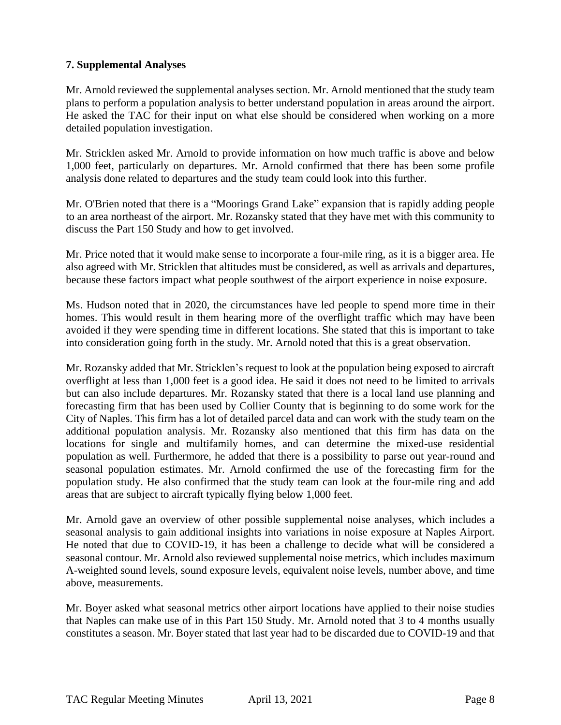# **7. Supplemental Analyses**

Mr. Arnold reviewed the supplemental analyses section. Mr. Arnold mentioned that the study team plans to perform a population analysis to better understand population in areas around the airport. He asked the TAC for their input on what else should be considered when working on a more detailed population investigation.

Mr. Stricklen asked Mr. Arnold to provide information on how much traffic is above and below 1,000 feet, particularly on departures. Mr. Arnold confirmed that there has been some profile analysis done related to departures and the study team could look into this further.

Mr. O'Brien noted that there is a "Moorings Grand Lake" expansion that is rapidly adding people to an area northeast of the airport. Mr. Rozansky stated that they have met with this community to discuss the Part 150 Study and how to get involved.

Mr. Price noted that it would make sense to incorporate a four-mile ring, as it is a bigger area. He also agreed with Mr. Stricklen that altitudes must be considered, as well as arrivals and departures, because these factors impact what people southwest of the airport experience in noise exposure.

Ms. Hudson noted that in 2020, the circumstances have led people to spend more time in their homes. This would result in them hearing more of the overflight traffic which may have been avoided if they were spending time in different locations. She stated that this is important to take into consideration going forth in the study. Mr. Arnold noted that this is a great observation.

Mr. Rozansky added that Mr. Stricklen's request to look at the population being exposed to aircraft overflight at less than 1,000 feet is a good idea. He said it does not need to be limited to arrivals but can also include departures. Mr. Rozansky stated that there is a local land use planning and forecasting firm that has been used by Collier County that is beginning to do some work for the City of Naples. This firm has a lot of detailed parcel data and can work with the study team on the additional population analysis. Mr. Rozansky also mentioned that this firm has data on the locations for single and multifamily homes, and can determine the mixed-use residential population as well. Furthermore, he added that there is a possibility to parse out year-round and seasonal population estimates. Mr. Arnold confirmed the use of the forecasting firm for the population study. He also confirmed that the study team can look at the four-mile ring and add areas that are subject to aircraft typically flying below 1,000 feet.

Mr. Arnold gave an overview of other possible supplemental noise analyses, which includes a seasonal analysis to gain additional insights into variations in noise exposure at Naples Airport. He noted that due to COVID-19, it has been a challenge to decide what will be considered a seasonal contour. Mr. Arnold also reviewed supplemental noise metrics, which includes maximum A-weighted sound levels, sound exposure levels, equivalent noise levels, number above, and time above, measurements.

Mr. Boyer asked what seasonal metrics other airport locations have applied to their noise studies that Naples can make use of in this Part 150 Study. Mr. Arnold noted that 3 to 4 months usually constitutes a season. Mr. Boyer stated that last year had to be discarded due to COVID-19 and that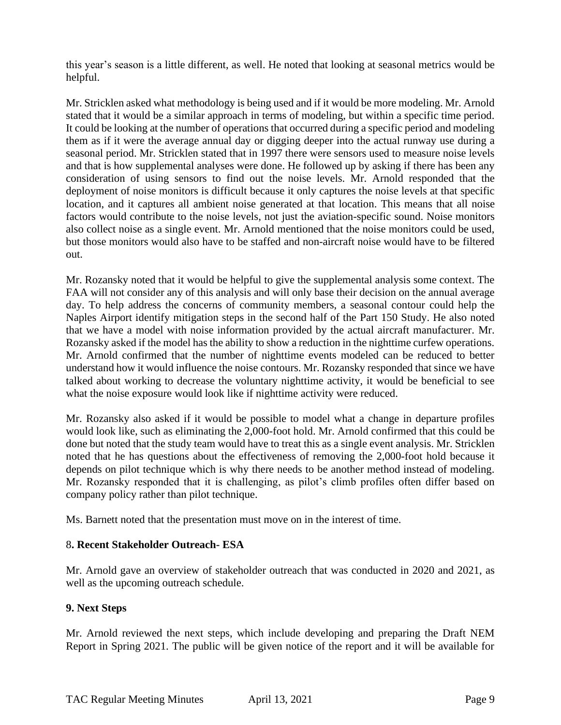this year's season is a little different, as well. He noted that looking at seasonal metrics would be helpful.

Mr. Stricklen asked what methodology is being used and if it would be more modeling. Mr. Arnold stated that it would be a similar approach in terms of modeling, but within a specific time period. It could be looking at the number of operations that occurred during a specific period and modeling them as if it were the average annual day or digging deeper into the actual runway use during a seasonal period. Mr. Stricklen stated that in 1997 there were sensors used to measure noise levels and that is how supplemental analyses were done. He followed up by asking if there has been any consideration of using sensors to find out the noise levels. Mr. Arnold responded that the deployment of noise monitors is difficult because it only captures the noise levels at that specific location, and it captures all ambient noise generated at that location. This means that all noise factors would contribute to the noise levels, not just the aviation-specific sound. Noise monitors also collect noise as a single event. Mr. Arnold mentioned that the noise monitors could be used, but those monitors would also have to be staffed and non-aircraft noise would have to be filtered out.

Mr. Rozansky noted that it would be helpful to give the supplemental analysis some context. The FAA will not consider any of this analysis and will only base their decision on the annual average day. To help address the concerns of community members, a seasonal contour could help the Naples Airport identify mitigation steps in the second half of the Part 150 Study. He also noted that we have a model with noise information provided by the actual aircraft manufacturer. Mr. Rozansky asked if the model has the ability to show a reduction in the nighttime curfew operations. Mr. Arnold confirmed that the number of nighttime events modeled can be reduced to better understand how it would influence the noise contours. Mr. Rozansky responded that since we have talked about working to decrease the voluntary nighttime activity, it would be beneficial to see what the noise exposure would look like if nighttime activity were reduced.

Mr. Rozansky also asked if it would be possible to model what a change in departure profiles would look like, such as eliminating the 2,000-foot hold. Mr. Arnold confirmed that this could be done but noted that the study team would have to treat this as a single event analysis. Mr. Stricklen noted that he has questions about the effectiveness of removing the 2,000-foot hold because it depends on pilot technique which is why there needs to be another method instead of modeling. Mr. Rozansky responded that it is challenging, as pilot's climb profiles often differ based on company policy rather than pilot technique.

Ms. Barnett noted that the presentation must move on in the interest of time.

# 8**. Recent Stakeholder Outreach- ESA**

Mr. Arnold gave an overview of stakeholder outreach that was conducted in 2020 and 2021, as well as the upcoming outreach schedule.

# **9. Next Steps**

Mr. Arnold reviewed the next steps, which include developing and preparing the Draft NEM Report in Spring 2021. The public will be given notice of the report and it will be available for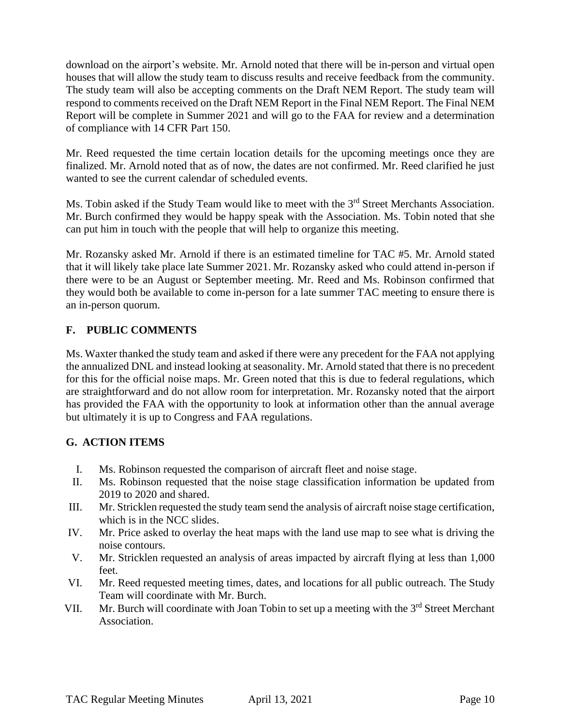download on the airport's website. Mr. Arnold noted that there will be in-person and virtual open houses that will allow the study team to discuss results and receive feedback from the community. The study team will also be accepting comments on the Draft NEM Report. The study team will respond to comments received on the Draft NEM Report in the Final NEM Report. The Final NEM Report will be complete in Summer 2021 and will go to the FAA for review and a determination of compliance with 14 CFR Part 150.

Mr. Reed requested the time certain location details for the upcoming meetings once they are finalized. Mr. Arnold noted that as of now, the dates are not confirmed. Mr. Reed clarified he just wanted to see the current calendar of scheduled events.

Ms. Tobin asked if the Study Team would like to meet with the 3<sup>rd</sup> Street Merchants Association. Mr. Burch confirmed they would be happy speak with the Association. Ms. Tobin noted that she can put him in touch with the people that will help to organize this meeting.

Mr. Rozansky asked Mr. Arnold if there is an estimated timeline for TAC #5. Mr. Arnold stated that it will likely take place late Summer 2021. Mr. Rozansky asked who could attend in-person if there were to be an August or September meeting. Mr. Reed and Ms. Robinson confirmed that they would both be available to come in-person for a late summer TAC meeting to ensure there is an in-person quorum.

# **F. PUBLIC COMMENTS**

Ms. Waxter thanked the study team and asked if there were any precedent for the FAA not applying the annualized DNL and instead looking at seasonality. Mr. Arnold stated that there is no precedent for this for the official noise maps. Mr. Green noted that this is due to federal regulations, which are straightforward and do not allow room for interpretation. Mr. Rozansky noted that the airport has provided the FAA with the opportunity to look at information other than the annual average but ultimately it is up to Congress and FAA regulations.

# **G. ACTION ITEMS**

- I. Ms. Robinson requested the comparison of aircraft fleet and noise stage.
- II. Ms. Robinson requested that the noise stage classification information be updated from 2019 to 2020 and shared.
- III. Mr. Stricklen requested the study team send the analysis of aircraft noise stage certification, which is in the NCC slides.
- IV. Mr. Price asked to overlay the heat maps with the land use map to see what is driving the noise contours.
- V. Mr. Stricklen requested an analysis of areas impacted by aircraft flying at less than 1,000 feet.
- VI. Mr. Reed requested meeting times, dates, and locations for all public outreach. The Study Team will coordinate with Mr. Burch.
- VII. Mr. Burch will coordinate with Joan Tobin to set up a meeting with the 3<sup>rd</sup> Street Merchant Association.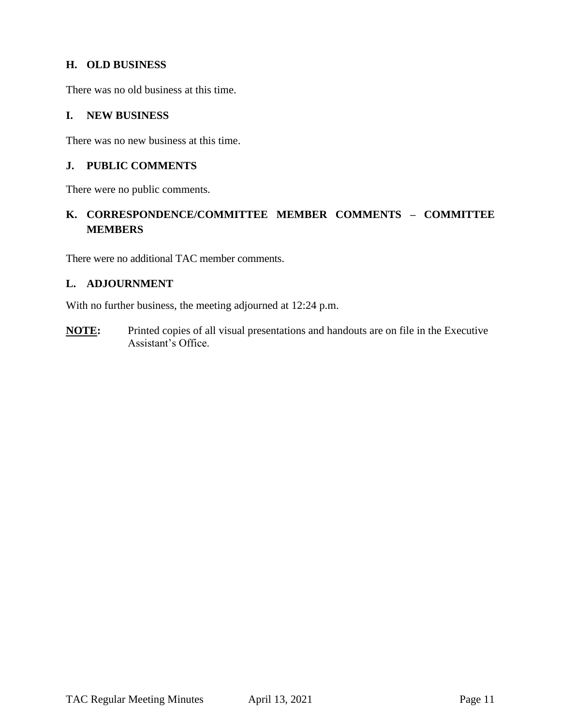# **H. OLD BUSINESS**

There was no old business at this time.

### **I. NEW BUSINESS**

There was no new business at this time.

### **J. PUBLIC COMMENTS**

There were no public comments.

# **K. CORRESPONDENCE/COMMITTEE MEMBER COMMENTS – COMMITTEE MEMBERS**

There were no additional TAC member comments.

### **L. ADJOURNMENT**

With no further business, the meeting adjourned at 12:24 p.m.

**NOTE:** Printed copies of all visual presentations and handouts are on file in the Executive Assistant's Office.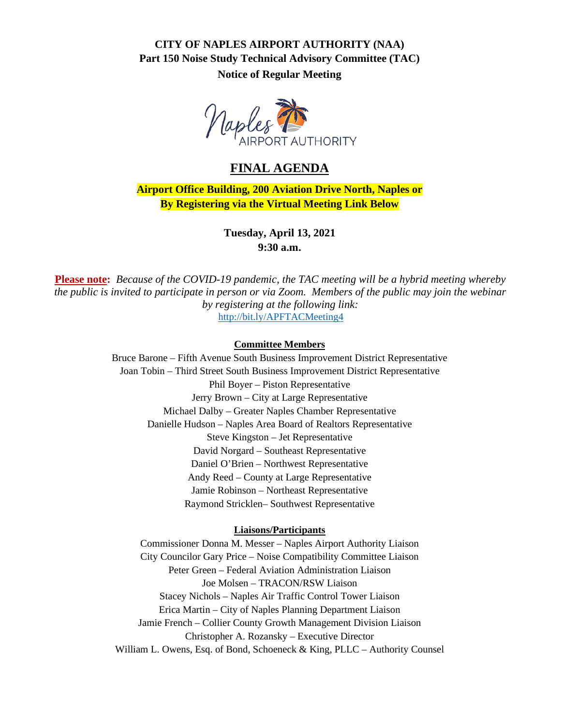# **CITY OF NAPLES AIRPORT AUTHORITY (NAA) Part 150 Noise Study Technical Advisory Committee (TAC) Notice of Regular Meeting**



# **FINAL AGENDA**

**Airport Office Building, 200 Aviation Drive North, Naples or By Registering via the Virtual Meeting Link Below**

> **Tuesday, April 13, 2021 9:30 a.m.**

**Please note:** *Because of the COVID-19 pandemic, the TAC meeting will be a hybrid meeting whereby the public is invited to participate in person or via Zoom. Members of the public may join the webinar by registering at the following link:* <http://bit.ly/APFTACMeeting4>

#### **Committee Members**

Bruce Barone – Fifth Avenue South Business Improvement District Representative Joan Tobin – Third Street South Business Improvement District Representative Phil Boyer – Piston Representative Jerry Brown – City at Large Representative Michael Dalby – Greater Naples Chamber Representative Danielle Hudson – Naples Area Board of Realtors Representative Steve Kingston – Jet Representative David Norgard – Southeast Representative Daniel O'Brien – Northwest Representative Andy Reed – County at Large Representative Jamie Robinson – Northeast Representative Raymond Stricklen– Southwest Representative

#### **Liaisons/Participants**

Commissioner Donna M. Messer – Naples Airport Authority Liaison City Councilor Gary Price – Noise Compatibility Committee Liaison Peter Green – Federal Aviation Administration Liaison Joe Molsen – TRACON/RSW Liaison Stacey Nichols – Naples Air Traffic Control Tower Liaison Erica Martin – City of Naples Planning Department Liaison Jamie French – Collier County Growth Management Division Liaison Christopher A. Rozansky – Executive Director William L. Owens, Esq. of Bond, Schoeneck & King, PLLC – Authority Counsel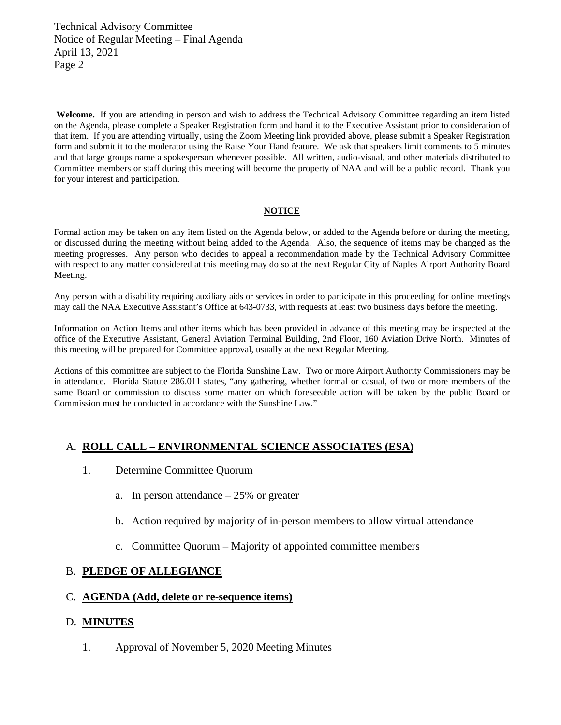Technical Advisory Committee Notice of Regular Meeting – Final Agenda April 13, 2021 Page 2

**Welcome.** If you are attending in person and wish to address the Technical Advisory Committee regarding an item listed on the Agenda, please complete a Speaker Registration form and hand it to the Executive Assistant prior to consideration of that item. If you are attending virtually, using the Zoom Meeting link provided above, please submit a Speaker Registration form and submit it to the moderator using the Raise Your Hand feature. We ask that speakers limit comments to 5 minutes and that large groups name a spokesperson whenever possible. All written, audio-visual, and other materials distributed to Committee members or staff during this meeting will become the property of NAA and will be a public record. Thank you for your interest and participation.

#### **NOTICE**

Formal action may be taken on any item listed on the Agenda below, or added to the Agenda before or during the meeting, or discussed during the meeting without being added to the Agenda. Also, the sequence of items may be changed as the meeting progresses. Any person who decides to appeal a recommendation made by the Technical Advisory Committee with respect to any matter considered at this meeting may do so at the next Regular City of Naples Airport Authority Board Meeting.

Any person with a disability requiring auxiliary aids or services in order to participate in this proceeding for online meetings may call the NAA Executive Assistant's Office at 643-0733, with requests at least two business days before the meeting.

Information on Action Items and other items which has been provided in advance of this meeting may be inspected at the office of the Executive Assistant, General Aviation Terminal Building, 2nd Floor, 160 Aviation Drive North. Minutes of this meeting will be prepared for Committee approval, usually at the next Regular Meeting.

Actions of this committee are subject to the Florida Sunshine Law. Two or more Airport Authority Commissioners may be in attendance. Florida Statute 286.011 states, "any gathering, whether formal or casual, of two or more members of the same Board or commission to discuss some matter on which foreseeable action will be taken by the public Board or Commission must be conducted in accordance with the Sunshine Law."

### A. **ROLL CALL – ENVIRONMENTAL SCIENCE ASSOCIATES (ESA)**

- 1. Determine Committee Quorum
	- a. In person attendance  $-25%$  or greater
	- b. Action required by majority of in-person members to allow virtual attendance
	- c. Committee Quorum Majority of appointed committee members

#### B. **PLEDGE OF ALLEGIANCE**

# C. **AGENDA (Add, delete or re-sequence items)**

#### D. **MINUTES**

1. Approval of November 5, 2020 Meeting Minutes